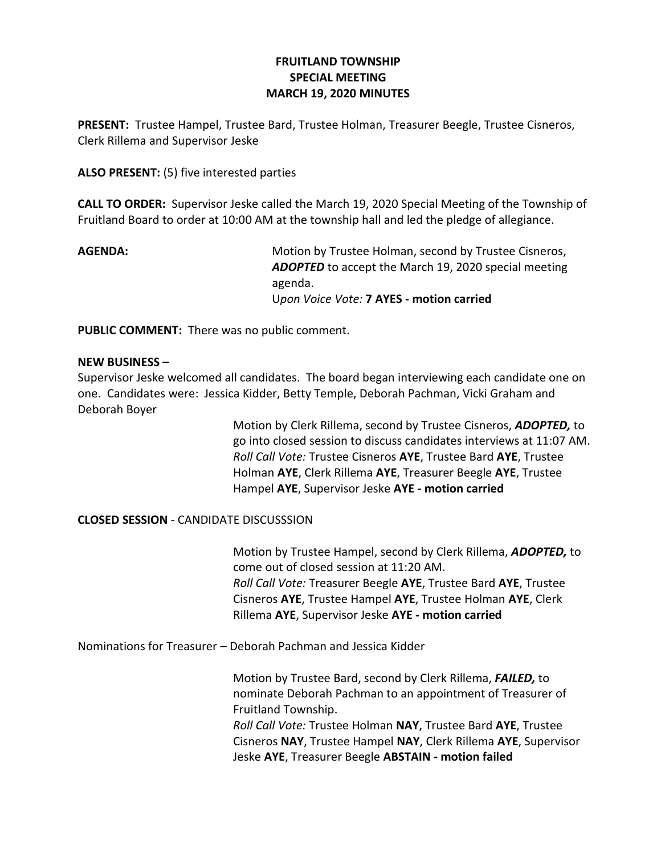# **FRUITLAND TOWNSHIP SPECIAL MEETING MARCH 19, 2020 MINUTES**

**PRESENT:** Trustee Hampel, Trustee Bard, Trustee Holman, Treasurer Beegle, Trustee Cisneros, Clerk Rillema and Supervisor Jeske

**ALSO PRESENT:** (5) five interested parties

**CALL TO ORDER:** Supervisor Jeske called the March 19, 2020 Special Meeting of the Township of Fruitland Board to order at 10:00 AM at the township hall and led the pledge of allegiance.

**AGENDA:** Motion by Trustee Holman, second by Trustee Cisneros, *ADOPTED* to accept the March 19, 2020 special meeting agenda. U*pon Voice Vote:* **7 AYES - motion carried**

**PUBLIC COMMENT:** There was no public comment.

## **NEW BUSINESS –**

Supervisor Jeske welcomed all candidates. The board began interviewing each candidate one on one. Candidates were: Jessica Kidder, Betty Temple, Deborah Pachman, Vicki Graham and Deborah Boyer

> Motion by Clerk Rillema, second by Trustee Cisneros, *ADOPTED,* to go into closed session to discuss candidates interviews at 11:07 AM. *Roll Call Vote:* Trustee Cisneros **AYE**, Trustee Bard **AYE**, Trustee Holman **AYE**, Clerk Rillema **AYE**, Treasurer Beegle **AYE**, Trustee Hampel **AYE**, Supervisor Jeske **AYE - motion carried**

## **CLOSED SESSION** - CANDIDATE DISCUSSSION

Motion by Trustee Hampel, second by Clerk Rillema, *ADOPTED,* to come out of closed session at 11:20 AM. *Roll Call Vote:* Treasurer Beegle **AYE**, Trustee Bard **AYE**, Trustee Cisneros **AYE**, Trustee Hampel **AYE**, Trustee Holman **AYE**, Clerk Rillema **AYE**, Supervisor Jeske **AYE - motion carried**

Nominations for Treasurer – Deborah Pachman and Jessica Kidder

Motion by Trustee Bard, second by Clerk Rillema, *FAILED,* to nominate Deborah Pachman to an appointment of Treasurer of Fruitland Township. *Roll Call Vote:* Trustee Holman **NAY**, Trustee Bard **AYE**, Trustee Cisneros **NAY**, Trustee Hampel **NAY**, Clerk Rillema **AYE**, Supervisor Jeske **AYE**, Treasurer Beegle **ABSTAIN - motion failed**